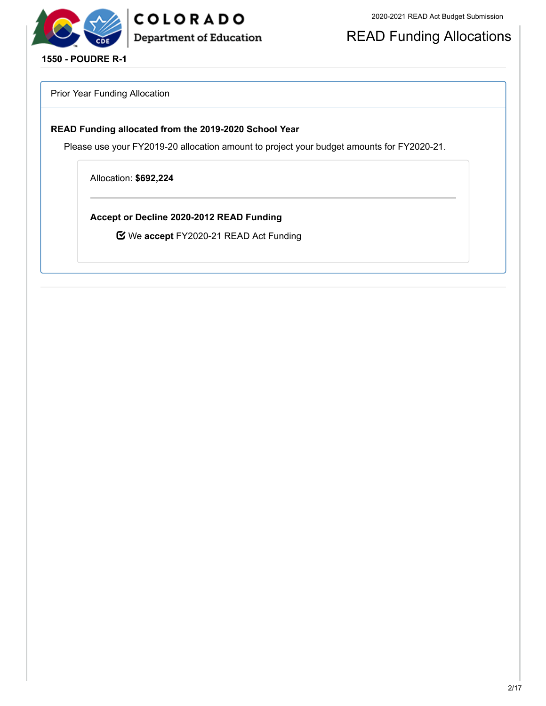

COLORADO Department of Education

READ Funding Allocations

**1550 - POUDRE R-1**

Prior Year Funding Allocation

## **READ Funding allocated from the 2019-2020 School Year**

Please use your FY2019-20 allocation amount to project your budget amounts for FY2020-21.

Allocation: **\$692,224**

**Accept or Decline 2020-2012 READ Funding**

We **accept** FY2020-21 READ Act Funding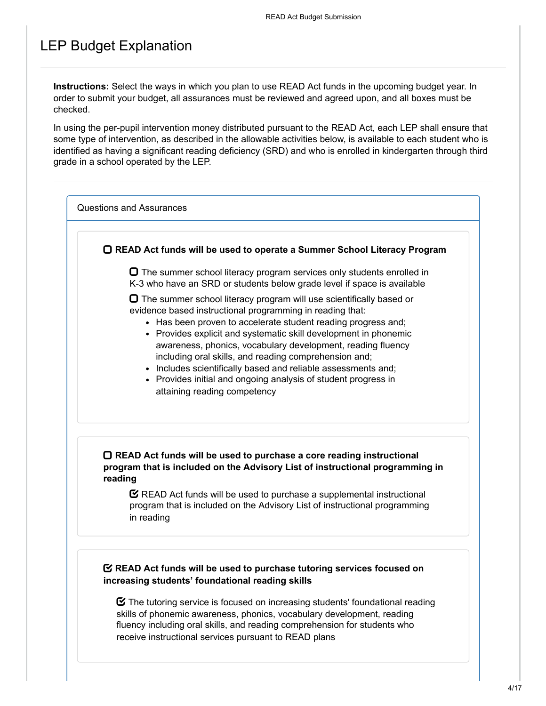# LEP Budget Explanation

**Instructions:** Select the ways in which you plan to use READ Act funds in the upcoming budget year. In order to submit your budget, all assurances must be reviewed and agreed upon, and all boxes must be checked.

In using the per-pupil intervention money distributed pursuant to the READ Act, each LEP shall ensure that some type of intervention, as described in the allowable activities below, is available to each student who is identified as having a significant reading deficiency (SRD) and who is enrolled in kindergarten through third grade in a school operated by the LEP.

Questions and Assurances

**READ Act funds will be used to operate a Summer School Literacy Program**

 $\Box$  The summer school literacy program services only students enrolled in K-3 who have an SRD or students below grade level if space is available

 $\Box$  The summer school literacy program will use scientifically based or evidence based instructional programming in reading that:

- Has been proven to accelerate student reading progress and:
- Provides explicit and systematic skill development in phonemic awareness, phonics, vocabulary development, reading fluency including oral skills, and reading comprehension and;
- Includes scientifically based and reliable assessments and;
- Provides initial and ongoing analysis of student progress in attaining reading competency

## **READ Act funds will be used to purchase a core reading instructional program that is included on the Advisory List of instructional programming in reading**

 $\mathbf C$  READ Act funds will be used to purchase a supplemental instructional program that is included on the Advisory List of instructional programming in reading

## **READ Act funds will be used to purchase tutoring services focused on increasing students' foundational reading skills**

 $\boldsymbol{\heartsuit}$  The tutoring service is focused on increasing students' foundational reading skills of phonemic awareness, phonics, vocabulary development, reading fluency including oral skills, and reading comprehension for students who receive instructional services pursuant to READ plans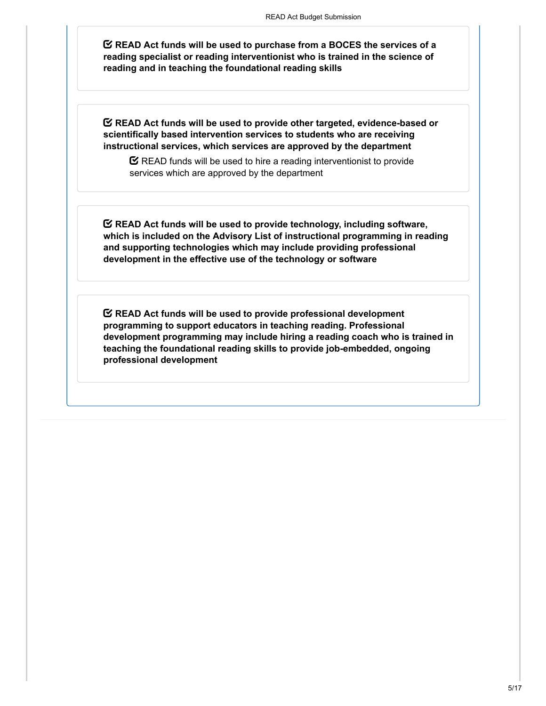**READ Act funds will be used to purchase from a BOCES the services of a reading specialist or reading interventionist who is trained in the science of reading and in teaching the foundational reading skills**

**READ Act funds will be used to provide other targeted, evidence-based or scientifically based intervention services to students who are receiving instructional services, which services are approved by the department**

 $\mathbf C$  READ funds will be used to hire a reading interventionist to provide services which are approved by the department

**READ Act funds will be used to provide technology, including software, which is included on the Advisory List of instructional programming in reading and supporting technologies which may include providing professional development in the effective use of the technology or software**

**READ Act funds will be used to provide professional development programming to support educators in teaching reading. Professional development programming may include hiring a reading coach who is trained in teaching the foundational reading skills to provide job-embedded, ongoing professional development**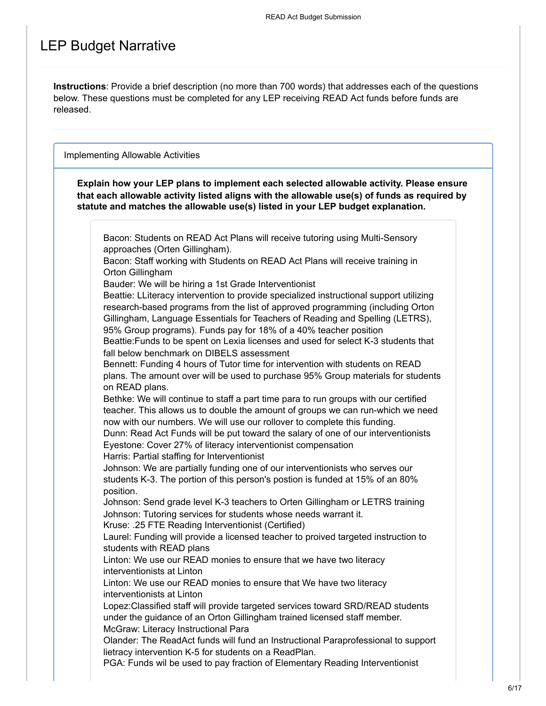# LEP Budget Narrative

**Instructions**: Provide a brief description (no more than 700 words) that addresses each of the questions below. These questions must be completed for any LEP receiving READ Act funds before funds are released.

Implementing Allowable Activities

**Explain how your LEP plans to implement each selected allowable activity. Please ensure that each allowable activity listed aligns with the allowable use(s) of funds as required by statute and matches the allowable use(s) listed in your LEP budget explanation.**

Bacon: Students on READ Act Plans will receive tutoring using Multi-Sensory approaches (Orten Gillingham). Bacon: Staff working with Students on READ Act Plans will receive training in Orton Gillingham Bauder: We will be hiring a 1st Grade Interventionist Beattie: LLiteracy intervention to provide specialized instructional support utilizing research-based programs from the list of approved programming (including Orton Gillingham, Language Essentials for Teachers of Reading and Spelling (LETRS), 95% Group programs). Funds pay for 18% of a 40% teacher position Beattie:Funds to be spent on Lexia licenses and used for select K-3 students that fall below benchmark on DIBELS assessment Bennett: Funding 4 hours of Tutor time for intervention with students on READ plans. The amount over will be used to purchase 95% Group materials for students on READ plans. Bethke: We will continue to staff a part time para to run groups with our certified teacher. This allows us to double the amount of groups we can run-which we need now with our numbers. We will use our rollover to complete this funding. Dunn: Read Act Funds will be put toward the salary of one of our interventionists Eyestone: Cover 27% of literacy interventionist compensation Harris: Partial staffing for Interventionist Johnson: We are partially funding one of our interventionists who serves our students K-3. The portion of this person's postion is funded at 15% of an 80% position. Johnson: Send grade level K-3 teachers to Orten Gillingham or LETRS training Johnson: Tutoring services for students whose needs warrant it. Kruse: .25 FTE Reading Interventionist (Certified) Laurel: Funding will provide a licensed teacher to proived targeted instruction to students with READ plans Linton: We use our READ monies to ensure that we have two literacy interventionists at Linton Linton: We use our READ monies to ensure that We have two literacy interventionists at Linton Lopez:Classified staff will provide targeted services toward SRD/READ students under the guidance of an Orton Gillingham trained licensed staff member. McGraw: Literacy Instructional Para Olander: The ReadAct funds will fund an Instructional Paraprofessional to support lietracy intervention K-5 for students on a ReadPlan. PGA: Funds wil be used to pay fraction of Elementary Reading Interventionist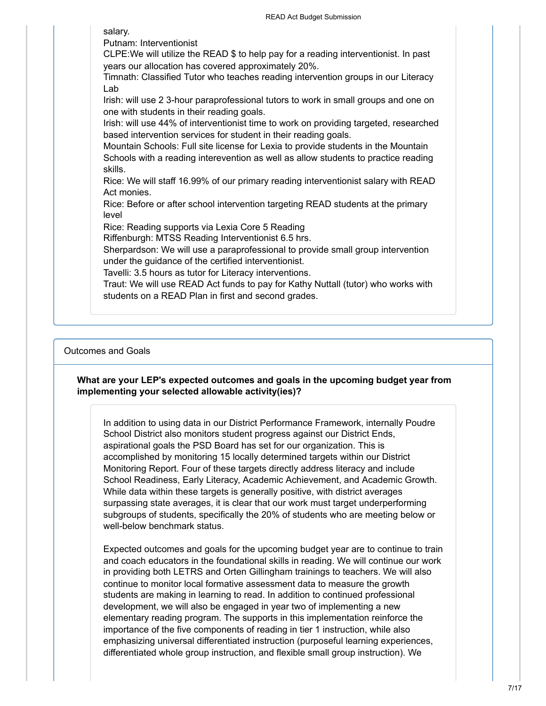salary. Putnam: Interventionist CLPE:We will utilize the READ \$ to help pay for a reading interventionist. In past years our allocation has covered approximately 20%. Timnath: Classified Tutor who teaches reading intervention groups in our Literacy Lab Irish: will use 2 3-hour paraprofessional tutors to work in small groups and one on one with students in their reading goals. Irish: will use 44% of interventionist time to work on providing targeted, researched based intervention services for student in their reading goals. Mountain Schools: Full site license for Lexia to provide students in the Mountain Schools with a reading interevention as well as allow students to practice reading skills. Rice: We will staff 16.99% of our primary reading interventionist salary with READ Act monies. Rice: Before or after school intervention targeting READ students at the primary level Rice: Reading supports via Lexia Core 5 Reading Riffenburgh: MTSS Reading Interventionist 6.5 hrs. Sherpardson: We will use a paraprofessional to provide small group intervention under the guidance of the certified interventionist. Tavelli: 3.5 hours as tutor for Literacy interventions. Traut: We will use READ Act funds to pay for Kathy Nuttall (tutor) who works with

students on a READ Plan in first and second grades.

## Outcomes and Goals

## **What are your LEP's expected outcomes and goals in the upcoming budget year from implementing your selected allowable activity(ies)?**

In addition to using data in our District Performance Framework, internally Poudre School District also monitors student progress against our District Ends, aspirational goals the PSD Board has set for our organization. This is accomplished by monitoring 15 locally determined targets within our District Monitoring Report. Four of these targets directly address literacy and include School Readiness, Early Literacy, Academic Achievement, and Academic Growth. While data within these targets is generally positive, with district averages surpassing state averages, it is clear that our work must target underperforming subgroups of students, specifically the 20% of students who are meeting below or well-below benchmark status.

Expected outcomes and goals for the upcoming budget year are to continue to train and coach educators in the foundational skills in reading. We will continue our work in providing both LETRS and Orten Gillingham trainings to teachers. We will also continue to monitor local formative assessment data to measure the growth students are making in learning to read. In addition to continued professional development, we will also be engaged in year two of implementing a new elementary reading program. The supports in this implementation reinforce the importance of the five components of reading in tier 1 instruction, while also emphasizing universal differentiated instruction (purposeful learning experiences, differentiated whole group instruction, and flexible small group instruction). We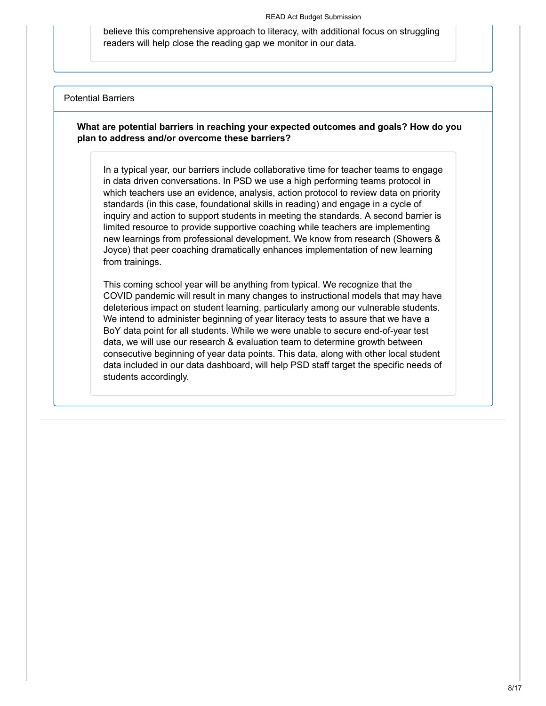believe this comprehensive approach to literacy, with additional focus on struggling readers will help close the reading gap we monitor in our data.

### Potential Barriers

**What are potential barriers in reaching your expected outcomes and goals? How do you plan to address and/or overcome these barriers?**

In a typical year, our barriers include collaborative time for teacher teams to engage in data driven conversations. In PSD we use a high performing teams protocol in which teachers use an evidence, analysis, action protocol to review data on priority standards (in this case, foundational skills in reading) and engage in a cycle of inquiry and action to support students in meeting the standards. A second barrier is limited resource to provide supportive coaching while teachers are implementing new learnings from professional development. We know from research (Showers & Joyce) that peer coaching dramatically enhances implementation of new learning from trainings.

This coming school year will be anything from typical. We recognize that the COVID pandemic will result in many changes to instructional models that may have deleterious impact on student learning, particularly among our vulnerable students. We intend to administer beginning of year literacy tests to assure that we have a BoY data point for all students. While we were unable to secure end-of-year test data, we will use our research & evaluation team to determine growth between consecutive beginning of year data points. This data, along with other local student data included in our data dashboard, will help PSD staff target the specific needs of students accordingly.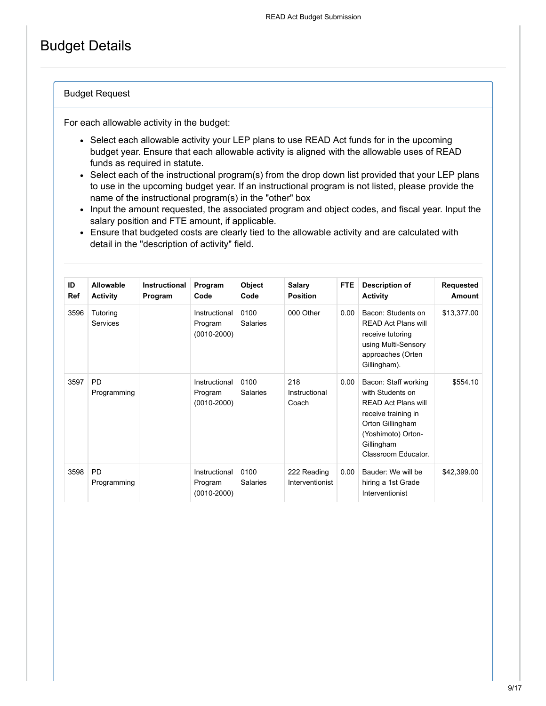# Budget Details

## Budget Request

For each allowable activity in the budget:

- Select each allowable activity your LEP plans to use READ Act funds for in the upcoming budget year. Ensure that each allowable activity is aligned with the allowable uses of READ funds as required in statute.
- Select each of the instructional program(s) from the drop down list provided that your LEP plans to use in the upcoming budget year. If an instructional program is not listed, please provide the name of the instructional program(s) in the "other" box
- Input the amount requested, the associated program and object codes, and fiscal year. Input the salary position and FTE amount, if applicable.
- Ensure that budgeted costs are clearly tied to the allowable activity and are calculated with detail in the "description of activity" field.

| ID<br>Ref | Allowable<br><b>Activity</b> | Instructional<br>Program | Program<br>Code                             | Object<br>Code          | <b>Salary</b><br><b>Position</b> | <b>FTE</b> | <b>Description of</b><br><b>Activity</b>                                                                                                                                     | Requested<br>Amount |
|-----------|------------------------------|--------------------------|---------------------------------------------|-------------------------|----------------------------------|------------|------------------------------------------------------------------------------------------------------------------------------------------------------------------------------|---------------------|
| 3596      | Tutoring<br><b>Services</b>  |                          | Instructional<br>Program<br>$(0010 - 2000)$ | 0100<br><b>Salaries</b> | 000 Other                        | 0.00       | Bacon: Students on<br><b>READ Act Plans will</b><br>receive tutoring<br>using Multi-Sensory<br>approaches (Orten<br>Gillingham).                                             | \$13,377.00         |
| 3597      | PD<br>Programming            |                          | Instructional<br>Program<br>$(0010 - 2000)$ | 0100<br><b>Salaries</b> | 218<br>Instructional<br>Coach    | 0.00       | Bacon: Staff working<br>with Students on<br><b>READ Act Plans will</b><br>receive training in<br>Orton Gillingham<br>(Yoshimoto) Orton-<br>Gillingham<br>Classroom Educator. | \$554.10            |
| 3598      | <b>PD</b><br>Programming     |                          | Instructional<br>Program<br>$(0010 - 2000)$ | 0100<br><b>Salaries</b> | 222 Reading<br>Interventionist   | 0.00       | Bauder: We will be<br>hiring a 1st Grade<br>Interventionist                                                                                                                  | \$42,399.00         |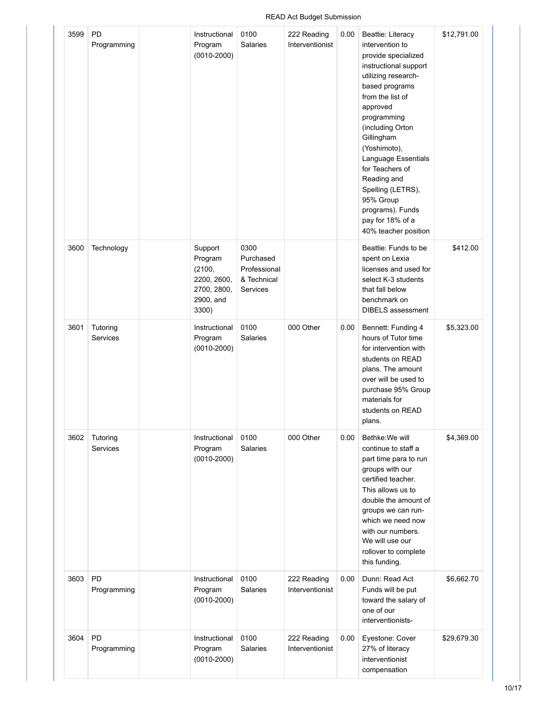#### Programming Program (0010-2000) Salaries Interventionist intervention to provide specialized instructional support utilizing researchbased programs from the list of approved programming (including Orton Gillingham (Yoshimoto), Language Essentials for Teachers of Reading and Spelling (LETRS), 95% Group programs). Funds pay for 18% of a 40% teacher position 3600 Technology | Support Program (2100, 2200, 2600, 2700, 2800, 2900, and 3300) 0300 Purchased Professional & Technical Services Beattie: Funds to be spent on Lexia licenses and used for select K-3 students that fall below benchmark on DIBELS assessment \$412.00 3601 Tutoring Services Instructional Program (0010-2000) 0100 Salaries 000 Other | 0.00 | Bennett: Funding 4 hours of Tutor time for intervention with students on READ plans. The amount over will be used to purchase 95% Group materials for students on READ plans. \$5,323.00 3602 Tutoring Services Instructional Program (0010-2000) 0100 Salaries 000 Other 0.00 Bethke: We will continue to staff a part time para to run groups with our certified teacher. This allows us to double the amount of groups we can runwhich we need now with our numbers. We will use our rollover to complete this funding. \$4,369.00 3603 PD Programming Instructional Program (0010-2000) 0100 Salaries 222 Reading Interventionist 0.00 Dunn: Read Act Funds will be put toward the salary of one of our interventionists- \$6,662.70 3604 PD Programming Instructional Program 0100 Salaries 222 Reading Interventionist 0.00 | Eyestone: Cover 27% of literacy \$29,679.30

## READ Act Budget Submission 222 Reading

0.00 Beattie: Literacy

interventionist compensation \$12,791.00

Instructional

(0010-2000)

0100

3599 PD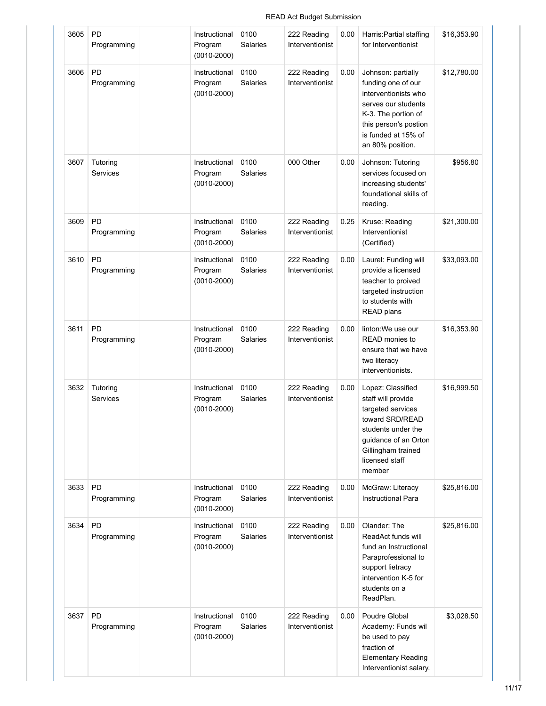#### 3605 PD Programming Instructional Program (0010-2000) 0100 Salaries 222 Reading Interventionist 0.00 Harris: Partial staffing for Interventionist \$16,353.90 3606 PD Programming Instructional Program (0010-2000) 0100 Salaries 222 Reading Interventionist 0.00 Johnson: partially funding one of our interventionists who serves our students K-3. The portion of this person's postion is funded at 15% of an 80% position. \$12,780.00 3607 Tutoring Services Instructional Program (0010-2000) 0100 Salaries 000 Other 0.00 Johnson: Tutoring services focused on increasing students' foundational skills of reading. \$956.80 3609 PD Programming Instructional Program (0010-2000) 0100 Salaries 222 Reading Interventionist 0.25 | Kruse: Reading Interventionist (Certified) \$21,300.00 3610 PD Programming Instructional Program (0010-2000) 0100 Salaries 222 Reading Interventionist 0.00 Laurel: Funding will provide a licensed teacher to proived targeted instruction to students with READ plans \$33,093.00 3611 PD Programming Instructional Program (0010-2000) 0100 Salaries 222 Reading Interventionist 0.00 linton: We use our READ monies to ensure that we have two literacy interventionists. \$16,353.90 3632 Tutoring Services Instructional Program (0010-2000) 0100 Salaries 222 Reading Interventionist 0.00 Lopez: Classified staff will provide targeted services toward SRD/READ students under the guidance of an Orton Gillingham trained licensed staff member \$16,999.50 3633 PD Programming Instructional Program (0010-2000) 0100 Salaries 222 Reading Interventionist 0.00 | McGraw: Literacy Instructional Para \$25,816.00 3634 PD Programming Instructional Program (0010-2000) 0100 Salaries 222 Reading Interventionist 0.00 Olander: The ReadAct funds will fund an Instructional Paraprofessional to support lietracy intervention K-5 for students on a ReadPlan. \$25,816.00 3637 PD Programming Instructional Program (0010-2000) 0100 Salaries 222 Reading Interventionist 0.00 Poudre Global Academy: Funds wil be used to pay fraction of Elementary Reading Interventionist salary. \$3,028.50

### READ Act Budget Submission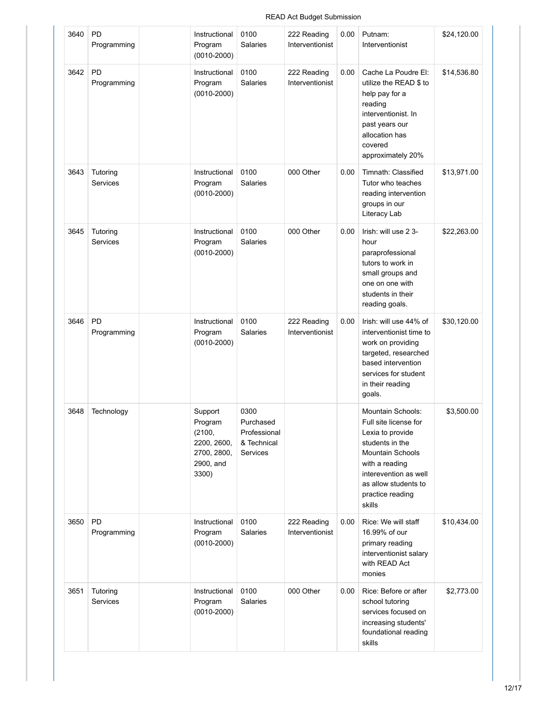#### 3640 PD Programming Instructional Program (0010-2000) 0100 Salaries 222 Reading Interventionist 0.00 Putnam: Interventionist \$24,120.00 3642 PD Programming Instructional Program (0010-2000) 0100 Salaries 222 Reading Interventionist 0.00 Cache La Poudre El: utilize the READ \$ to help pay for a reading interventionist. In past years our allocation has covered approximately 20% \$14,536.80 3643 Tutoring Services Instructional Program (0010-2000) 0100 Salaries 000 Other 0.00 Timnath: Classified Tutor who teaches reading intervention groups in our Literacy Lab \$13,971.00 3645 Tutoring Services Instructional Program (0010-2000) 0100 Salaries 000 Other  $\vert$  0.00 Irish: will use 2 3hour paraprofessional tutors to work in small groups and one on one with students in their reading goals. \$22,263.00 3646 PD Programming Instructional Program (0010-2000) 0100 Salaries 222 Reading Interventionist 0.00 | Irish: will use 44% of interventionist time to work on providing targeted, researched based intervention services for student in their reading goals. \$30,120.00 3648 Technology | Support Program (2100, 2200, 2600, 2700, 2800, 2900, and 3300) 0300 Purchased Professional & Technical Services Mountain Schools: Full site license for Lexia to provide students in the Mountain Schools with a reading interevention as well as allow students to practice reading skills \$3,500.00 3650 PD Programming Instructional Program (0010-2000) 0100 Salaries 222 Reading Interventionist 0.00 Rice: We will staff 16.99% of our primary reading interventionist salary with READ Act monies \$10,434.00 3651 Tutoring Services Instructional Program (0010-2000) 0100 Salaries 000 Other 0.00 Rice: Before or after school tutoring services focused on increasing students' foundational reading skills \$2,773.00

### READ Act Budget Submission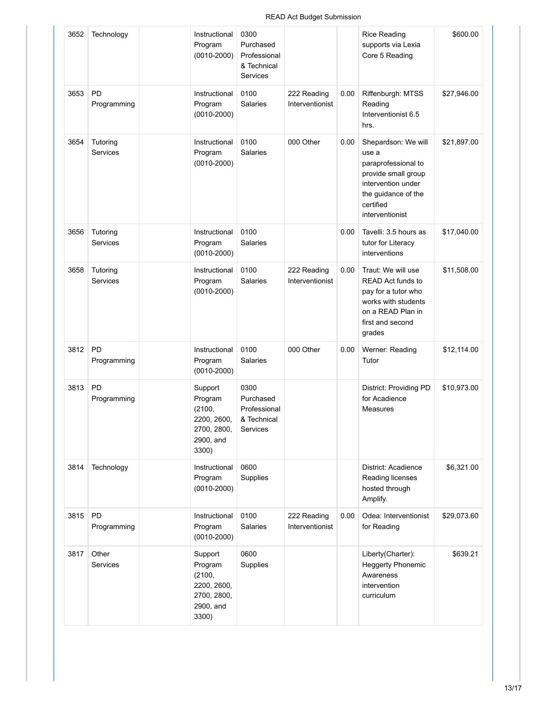## READ Act Budget Submission

| 3652 | Technology               | Instructional<br>Program<br>$(0010 - 2000)$                                      | 0300<br>Purchased<br>Professional<br>& Technical<br>Services |                                |      | <b>Rice Reading</b><br>supports via Lexia<br>Core 5 Reading                                                                                             | \$600.00    |
|------|--------------------------|----------------------------------------------------------------------------------|--------------------------------------------------------------|--------------------------------|------|---------------------------------------------------------------------------------------------------------------------------------------------------------|-------------|
| 3653 | <b>PD</b><br>Programming | Instructional<br>Program<br>$(0010 - 2000)$                                      | 0100<br>Salaries                                             | 222 Reading<br>Interventionist | 0.00 | Riffenburgh: MTSS<br>Reading<br>Interventionist 6.5<br>hrs.                                                                                             | \$27,946.00 |
| 3654 | Tutoring<br>Services     | Instructional<br>Program<br>$(0010 - 2000)$                                      | 0100<br><b>Salaries</b>                                      | 000 Other                      | 0.00 | Shepardson: We will<br>use a<br>paraprofessional to<br>provide small group<br>intervention under<br>the guidance of the<br>certified<br>interventionist | \$21,897.00 |
| 3656 | Tutoring<br>Services     | Instructional<br>Program<br>$(0010 - 2000)$                                      | 0100<br>Salaries                                             |                                | 0.00 | Tavelli: 3.5 hours as<br>tutor for Literacy<br>interventions                                                                                            | \$17,040.00 |
| 3658 | Tutoring<br>Services     | Instructional<br>Program<br>$(0010 - 2000)$                                      | 0100<br><b>Salaries</b>                                      | 222 Reading<br>Interventionist | 0.00 | Traut: We will use<br><b>READ Act funds to</b><br>pay for a tutor who<br>works with students<br>on a READ Plan in<br>first and second<br>grades         | \$11,508.00 |
| 3812 | <b>PD</b><br>Programming | Instructional<br>Program<br>$(0010 - 2000)$                                      | 0100<br>Salaries                                             | 000 Other                      | 0.00 | Werner: Reading<br>Tutor                                                                                                                                | \$12,114.00 |
| 3813 | <b>PD</b><br>Programming | Support<br>Program<br>(2100,<br>2200, 2600,<br>2700, 2800,<br>2900, and<br>3300) | 0300<br>Purchased<br>Professional<br>& Technical<br>Services |                                |      | District: Providing PD<br>for Acadience<br><b>Measures</b>                                                                                              | \$10,973.00 |
| 3814 | Technology               | Instructional<br>Program<br>$(0010 - 2000)$                                      | 0600<br>Supplies                                             |                                |      | District: Acadience<br>Reading licenses<br>hosted through<br>Amplify.                                                                                   | \$6,321.00  |
| 3815 | PD<br>Programming        | Instructional<br>Program<br>$(0010 - 2000)$                                      | 0100<br>Salaries                                             | 222 Reading<br>Interventionist | 0.00 | Odea: Interventionist<br>for Reading                                                                                                                    | \$29,073.60 |
| 3817 | Other<br>Services        | Support<br>Program<br>(2100,<br>2200, 2600,<br>2700, 2800,<br>2900, and<br>3300) | 0600<br>Supplies                                             |                                |      | Liberty(Charter):<br><b>Heggerty Phonemic</b><br>Awareness<br>intervention<br>curriculum                                                                | \$639.21    |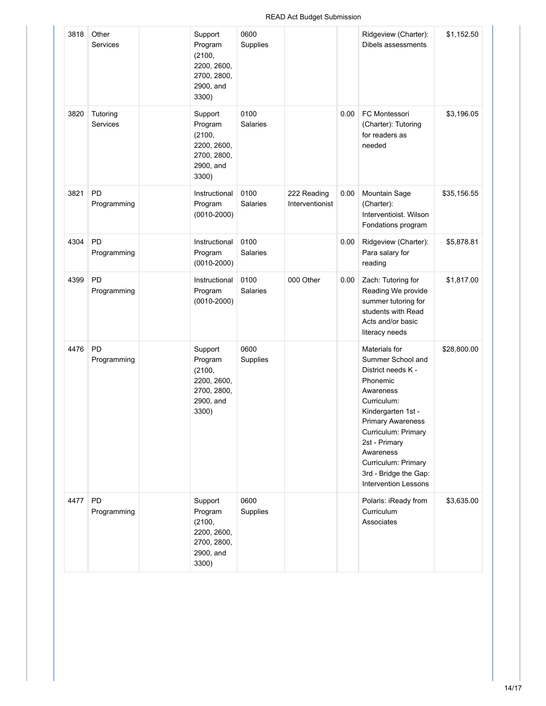| 3818 | Other<br>Services        | Support<br>Program<br>(2100,<br>2200, 2600,<br>2700, 2800,<br>2900, and<br>3300) | 0600<br>Supplies        |                                |      | Ridgeview (Charter):<br>Dibels assessments                                                                                                                                                                                                                                      | \$1,152.50  |
|------|--------------------------|----------------------------------------------------------------------------------|-------------------------|--------------------------------|------|---------------------------------------------------------------------------------------------------------------------------------------------------------------------------------------------------------------------------------------------------------------------------------|-------------|
| 3820 | Tutoring<br>Services     | Support<br>Program<br>(2100,<br>2200, 2600,<br>2700, 2800,<br>2900, and<br>3300) | 0100<br><b>Salaries</b> |                                | 0.00 | FC Montessori<br>(Charter): Tutoring<br>for readers as<br>needed                                                                                                                                                                                                                | \$3,196.05  |
| 3821 | <b>PD</b><br>Programming | Instructional<br>Program<br>$(0010 - 2000)$                                      | 0100<br>Salaries        | 222 Reading<br>Interventionist | 0.00 | Mountain Sage<br>(Charter):<br>Interventioist. Wilson<br>Fondations program                                                                                                                                                                                                     | \$35,156.55 |
| 4304 | <b>PD</b><br>Programming | Instructional<br>Program<br>$(0010 - 2000)$                                      | 0100<br>Salaries        |                                | 0.00 | Ridgeview (Charter):<br>Para salary for<br>reading                                                                                                                                                                                                                              | \$5,878.81  |
| 4399 | <b>PD</b><br>Programming | Instructional<br>Program<br>$(0010 - 2000)$                                      | 0100<br><b>Salaries</b> | 000 Other                      | 0.00 | Zach: Tutoring for<br>Reading We provide<br>summer tutoring for<br>students with Read<br>Acts and/or basic<br>literacy needs                                                                                                                                                    | \$1,817.00  |
| 4476 | <b>PD</b><br>Programming | Support<br>Program<br>(2100,<br>2200, 2600,<br>2700, 2800,<br>2900, and<br>3300) | 0600<br>Supplies        |                                |      | Materials for<br>Summer School and<br>District needs K -<br>Phonemic<br>Awareness<br>Curriculum:<br>Kindergarten 1st -<br><b>Primary Awareness</b><br>Curriculum: Primary<br>2st - Primary<br>Awareness<br>Curriculum: Primary<br>3rd - Bridge the Gap:<br>Intervention Lessons | \$28,800.00 |
| 4477 | PD<br>Programming        | Support<br>Program<br>(2100,<br>2200, 2600,<br>2700, 2800,<br>2900, and<br>3300) | 0600<br>Supplies        |                                |      | Polaris: iReady from<br>Curriculum<br>Associates                                                                                                                                                                                                                                | \$3,635.00  |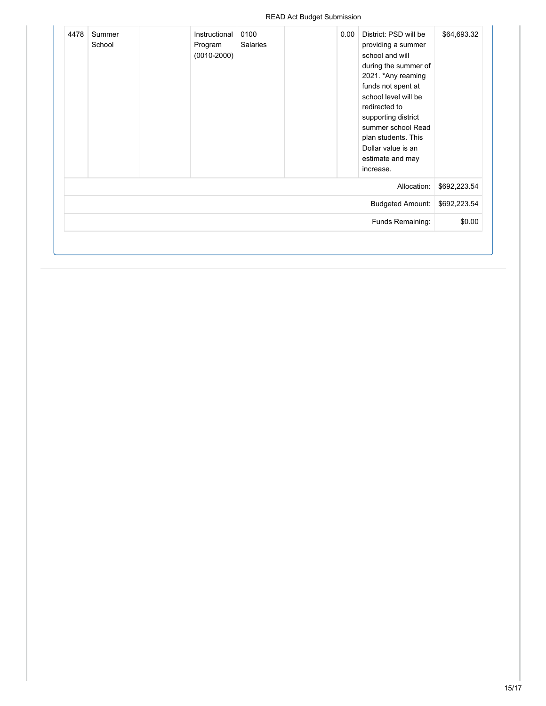| \$64,693.32  | District: PSD will be<br>providing a summer<br>school and will<br>during the summer of<br>2021. *Any reaming<br>funds not spent at<br>school level will be<br>redirected to<br>supporting district<br>summer school Read<br>plan students. This<br>Dollar value is an<br>estimate and may<br>increase. | 0.00 | 0100<br><b>Salaries</b> | Instructional<br>Program<br>$(0010 - 2000)$ | Summer<br>School | 4478 |
|--------------|--------------------------------------------------------------------------------------------------------------------------------------------------------------------------------------------------------------------------------------------------------------------------------------------------------|------|-------------------------|---------------------------------------------|------------------|------|
| \$692,223.54 | Allocation:                                                                                                                                                                                                                                                                                            |      |                         |                                             |                  |      |
| \$692,223.54 | <b>Budgeted Amount:</b>                                                                                                                                                                                                                                                                                |      |                         |                                             |                  |      |
| \$0.00       | Funds Remaining:                                                                                                                                                                                                                                                                                       |      |                         |                                             |                  |      |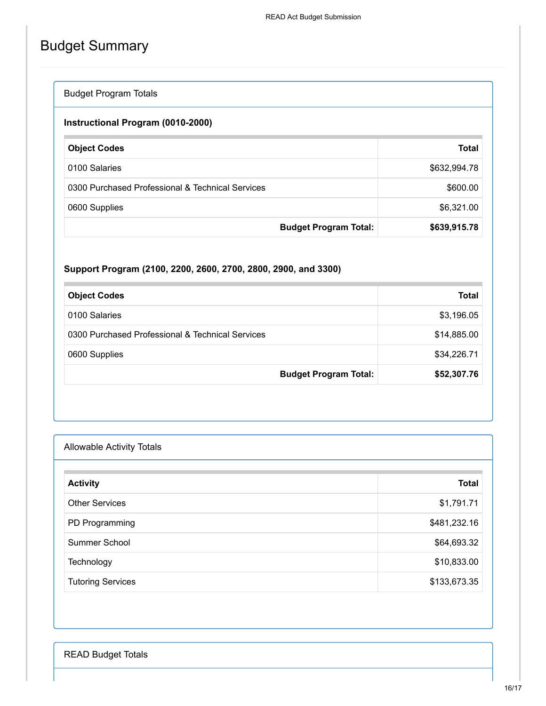# Budget Summary

| <b>Budget Program Totals</b> |  |
|------------------------------|--|
|                              |  |

## **Instructional Program (0010-2000)**

| <b>Object Codes</b>                              | <b>Total</b> |
|--------------------------------------------------|--------------|
| 0100 Salaries                                    | \$632,994.78 |
| 0300 Purchased Professional & Technical Services | \$600.00     |
| 0600 Supplies                                    | \$6,321.00   |
| <b>Budget Program Total:</b>                     | \$639,915.78 |

## **Support Program (2100, 2200, 2600, 2700, 2800, 2900, and 3300)**

| <b>Object Codes</b>                              | Total       |
|--------------------------------------------------|-------------|
| 0100 Salaries                                    | \$3,196.05  |
| 0300 Purchased Professional & Technical Services | \$14,885.00 |
| 0600 Supplies                                    | \$34,226.71 |
| <b>Budget Program Total:</b>                     | \$52,307.76 |

| <b>Allowable Activity Totals</b> |              |
|----------------------------------|--------------|
| <b>Activity</b>                  | <b>Total</b> |
| <b>Other Services</b>            | \$1,791.71   |
| PD Programming                   | \$481,232.16 |
| Summer School                    | \$64,693.32  |
| Technology                       | \$10,833.00  |
| <b>Tutoring Services</b>         | \$133,673.35 |

READ Budget Totals